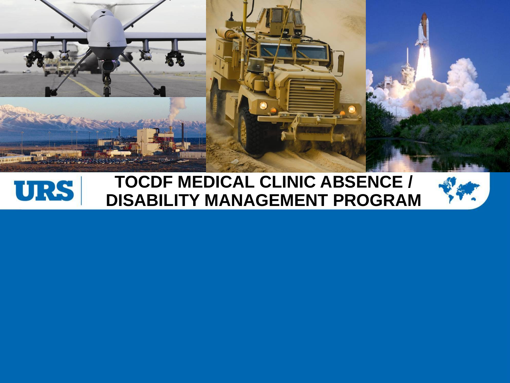



### **TOCDF MEDICAL CLINIC ABSENCE / DISABILITY MANAGEMENT PROGRAM**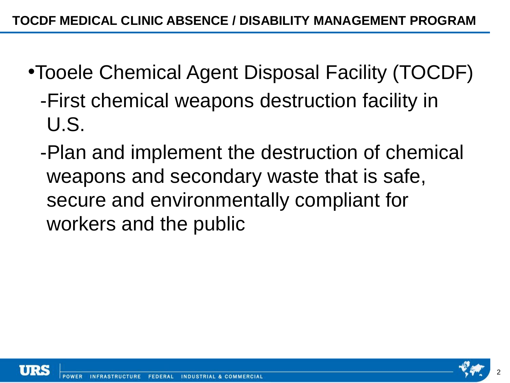- •Tooele Chemical Agent Disposal Facility (TOCDF)
	- -First chemical weapons destruction facility in U.S.
	- -Plan and implement the destruction of chemical weapons and secondary waste that is safe, secure and environmentally compliant for workers and the public



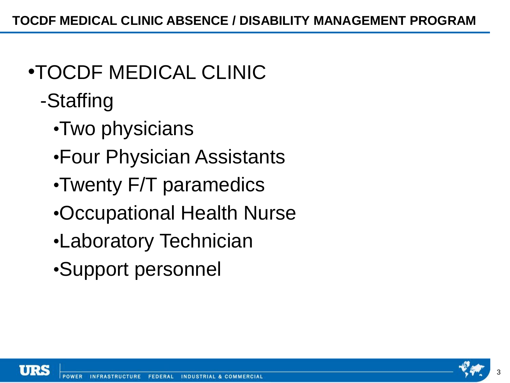## •TOCDF MEDICAL CLINIC

- -Staffing
	- •Two physicians
	- •Four Physician Assistants
	- •Twenty F/T paramedics
	- •Occupational Health Nurse
	- •Laboratory Technician
	- •Support personnel



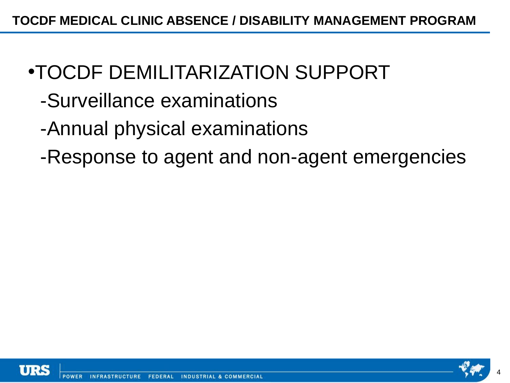- •TOCDF DEMILITARIZATION SUPPORT
	- -Surveillance examinations
	- -Annual physical examinations
	- -Response to agent and non-agent emergencies



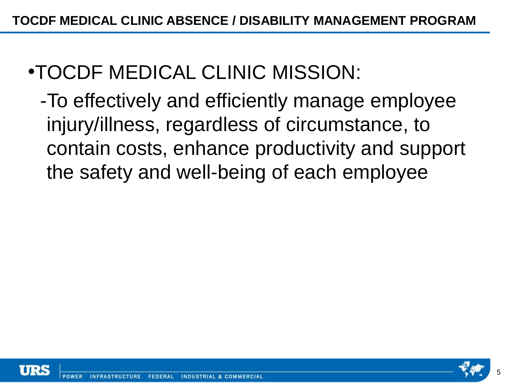- •TOCDF MEDICAL CLINIC MISSION:
	- -To effectively and efficiently manage employee injury/illness, regardless of circumstance, to contain costs, enhance productivity and support the safety and well-being of each employee



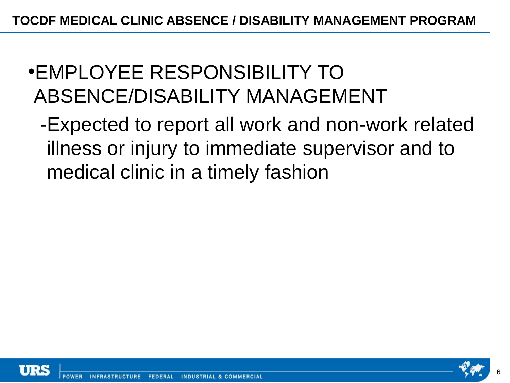- •EMPLOYEE RESPONSIBILITY TO ABSENCE/DISABILITY MANAGEMENT
	- -Expected to report all work and non-work related illness or injury to immediate supervisor and to medical clinic in a timely fashion



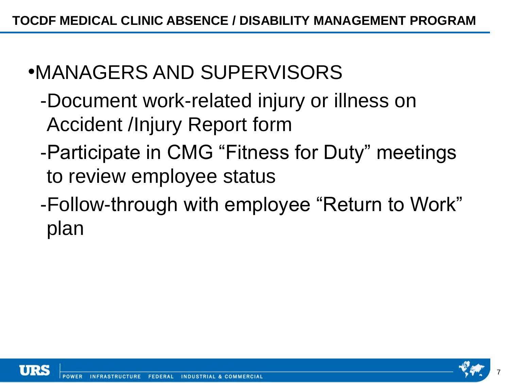- •MANAGERS AND SUPERVISORS
	- -Document work-related injury or illness on Accident /Injury Report form
	- -Participate in CMG "Fitness for Duty" meetings to review employee status
	- -Follow-through with employee "Return to Work" plan

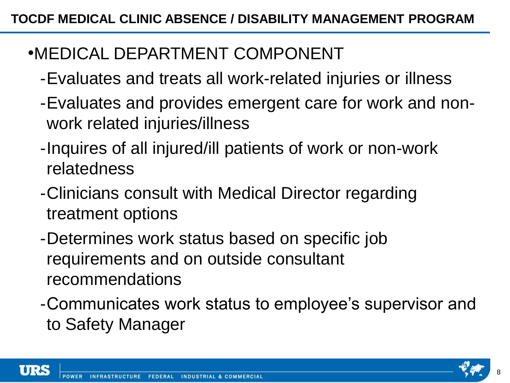### •MEDICAL DEPARTMENT COMPONENT

- -Evaluates and treats all work-related injuries or illness
- -Evaluates and provides emergent care for work and nonwork related injuries/illness
- -Inquires of all injured/ill patients of work or non-work relatedness
- -Clinicians consult with Medical Director regarding treatment options
- -Determines work status based on specific job requirements and on outside consultant recommendations
- -Communicates work status to employee's supervisor and to Safety Manager



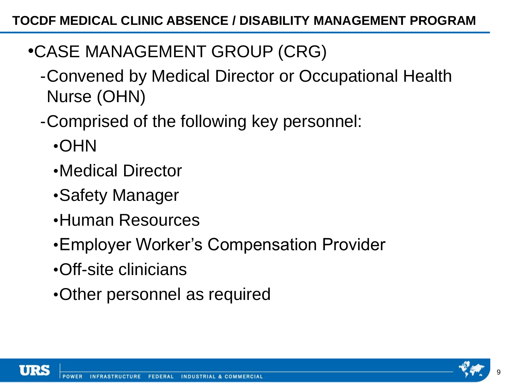- •CASE MANAGEMENT GROUP (CRG)
	- -Convened by Medical Director or Occupational Health Nurse (OHN)
	- -Comprised of the following key personnel:
		- •OHN
		- •Medical Director
		- •Safety Manager
		- •Human Resources
		- •Employer Worker's Compensation Provider
		- •Off-site clinicians
		- •Other personnel as required



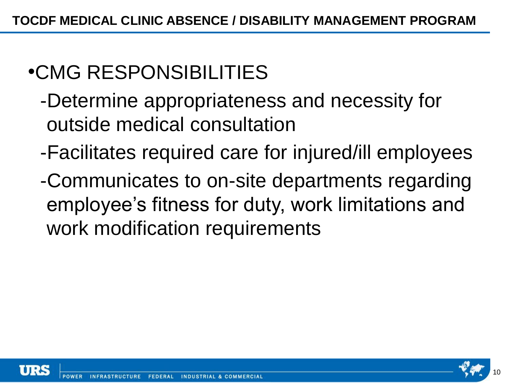# •CMG RESPONSIBILITIES

- -Determine appropriateness and necessity for outside medical consultation
- -Facilitates required care for injured/ill employees
- -Communicates to on-site departments regarding employee's fitness for duty, work limitations and work modification requirements



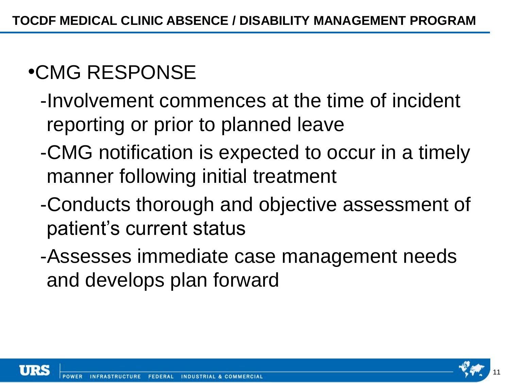# •CMG RESPONSE

- -Involvement commences at the time of incident reporting or prior to planned leave
- -CMG notification is expected to occur in a timely manner following initial treatment
- -Conducts thorough and objective assessment of patient's current status
- -Assesses immediate case management needs and develops plan forward



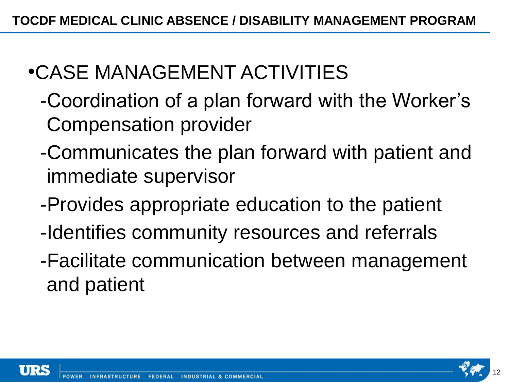# •CASE MANAGEMENT ACTIVITIES

- -Coordination of a plan forward with the Worker's Compensation provider
- -Communicates the plan forward with patient and immediate supervisor
- -Provides appropriate education to the patient
- -Identifies community resources and referrals
- -Facilitate communication between management and patient



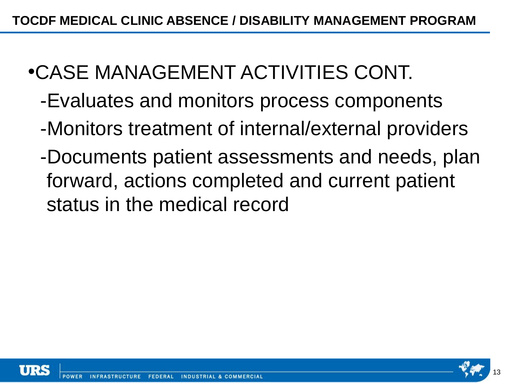- •CASE MANAGEMENT ACTIVITIES CONT.
	- -Evaluates and monitors process components
	- -Monitors treatment of internal/external providers
	- -Documents patient assessments and needs, plan forward, actions completed and current patient status in the medical record



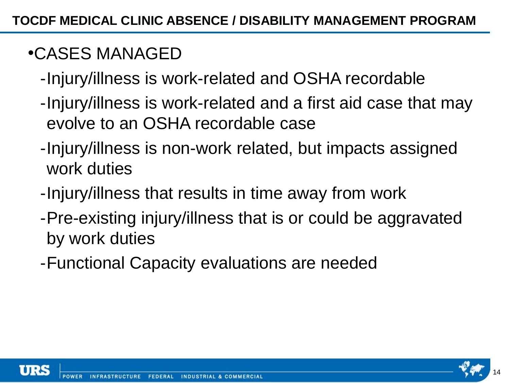## •CASES MANAGED

- -Injury/illness is work-related and OSHA recordable
- -Injury/illness is work-related and a first aid case that may evolve to an OSHA recordable case
- -Injury/illness is non-work related, but impacts assigned work duties
- -Injury/illness that results in time away from work
- -Pre-existing injury/illness that is or could be aggravated by work duties
- -Functional Capacity evaluations are needed



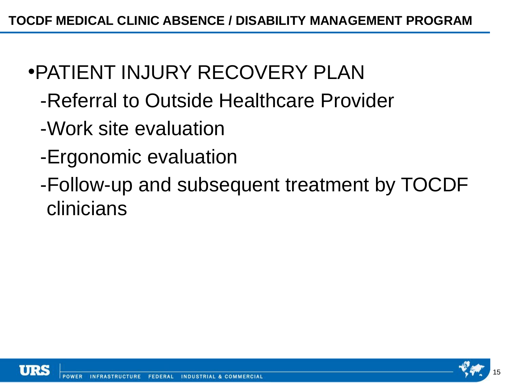- •PATIENT INJURY RECOVERY PLAN
	- -Referral to Outside Healthcare Provider
	- -Work site evaluation
	- -Ergonomic evaluation
	- -Follow-up and subsequent treatment by TOCDF clinicians



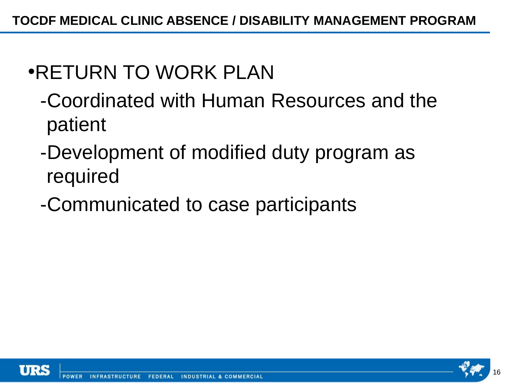## •RETURN TO WORK PLAN

- -Coordinated with Human Resources and the patient
- -Development of modified duty program as required
- -Communicated to case participants



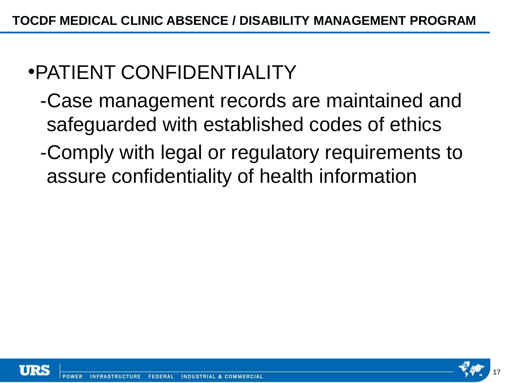# •PATIENT CONFIDENTIALITY

- -Case management records are maintained and safeguarded with established codes of ethics
- -Comply with legal or regulatory requirements to assure confidentiality of health information



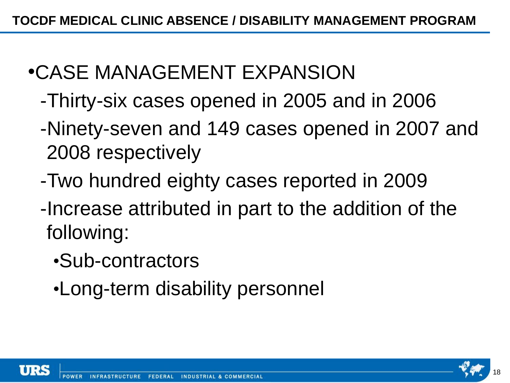## •CASE MANAGEMENT EXPANSION

- -Thirty-six cases opened in 2005 and in 2006
- -Ninety-seven and 149 cases opened in 2007 and 2008 respectively
- -Two hundred eighty cases reported in 2009
- -Increase attributed in part to the addition of the following:
	- •Sub-contractors
	- •Long-term disability personnel



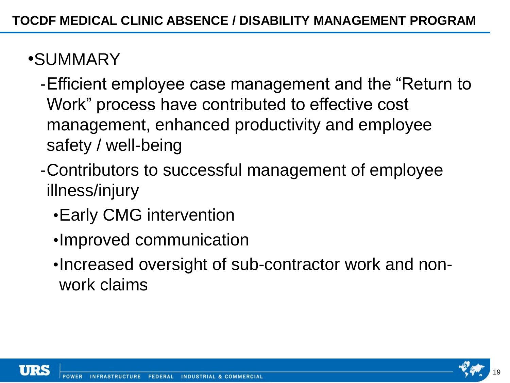### •SUMMARY

- -Efficient employee case management and the "Return to Work" process have contributed to effective cost management, enhanced productivity and employee safety / well-being
- -Contributors to successful management of employee illness/injury
	- •Early CMG intervention
	- •Improved communication
	- •Increased oversight of sub-contractor work and nonwork claims



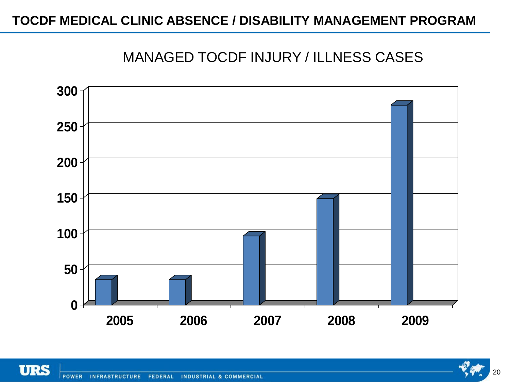#### **TOCDF MEDICAL CLINIC ABSENCE / DISABILITY MANAGEMENT PROGRAM**

#### MANAGED TOCDF INJURY / ILLNESS CASES





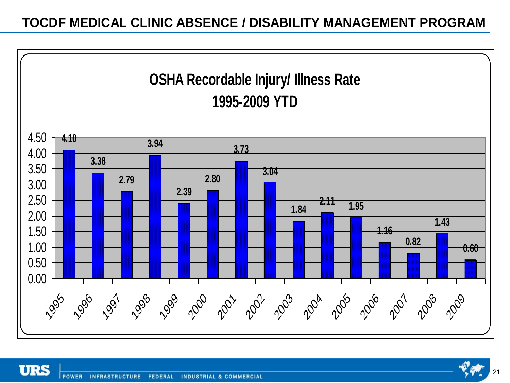#### **TOCDF MEDICAL CLINIC ABSENCE / DISABILITY MANAGEMENT PROGRAM**